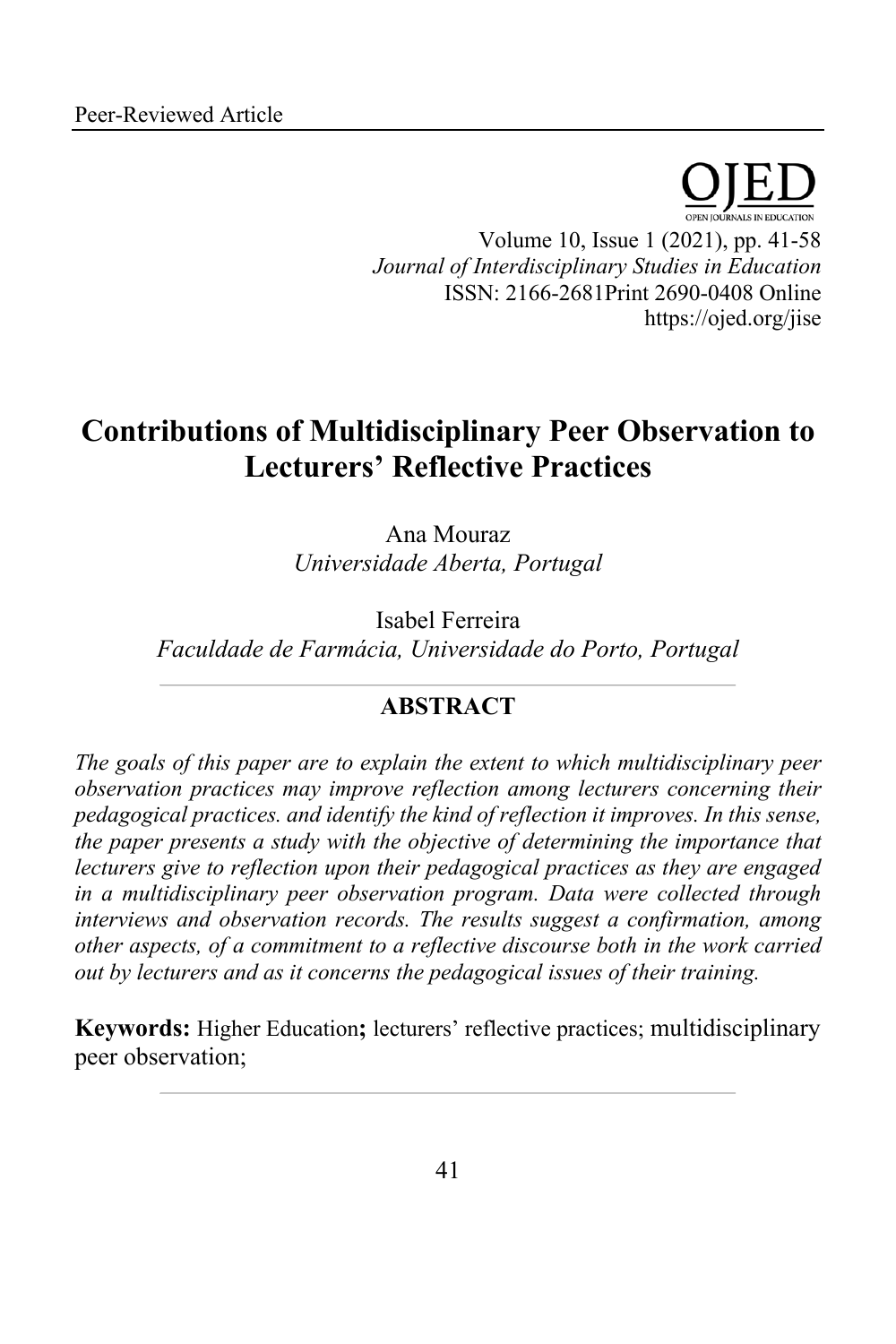Volume 10, Issue 1 (2021), pp. 41-58 *Journal of Interdisciplinary Studies in Education* ISSN: 2166-2681Print 2690-0408 Online https://ojed.org/jise

# **Contributions of Multidisciplinary Peer Observation to Lecturers' Reflective Practices**

Ana Mouraz *Universidade Aberta, Portugal*

Isabel Ferreira *Faculdade de Farmácia, Universidade do Porto, Portugal*

# **ABSTRACT**

*The goals of this paper are to explain the extent to which multidisciplinary peer observation practices may improve reflection among lecturers concerning their pedagogical practices. and identify the kind of reflection it improves. In this sense, the paper presents a study with the objective of determining the importance that lecturers give to reflection upon their pedagogical practices as they are engaged in a multidisciplinary peer observation program. Data were collected through interviews and observation records. The results suggest a confirmation, among other aspects, of a commitment to a reflective discourse both in the work carried out by lecturers and as it concerns the pedagogical issues of their training.*

**Keywords:** Higher Education**;** lecturers' reflective practices; multidisciplinary peer observation;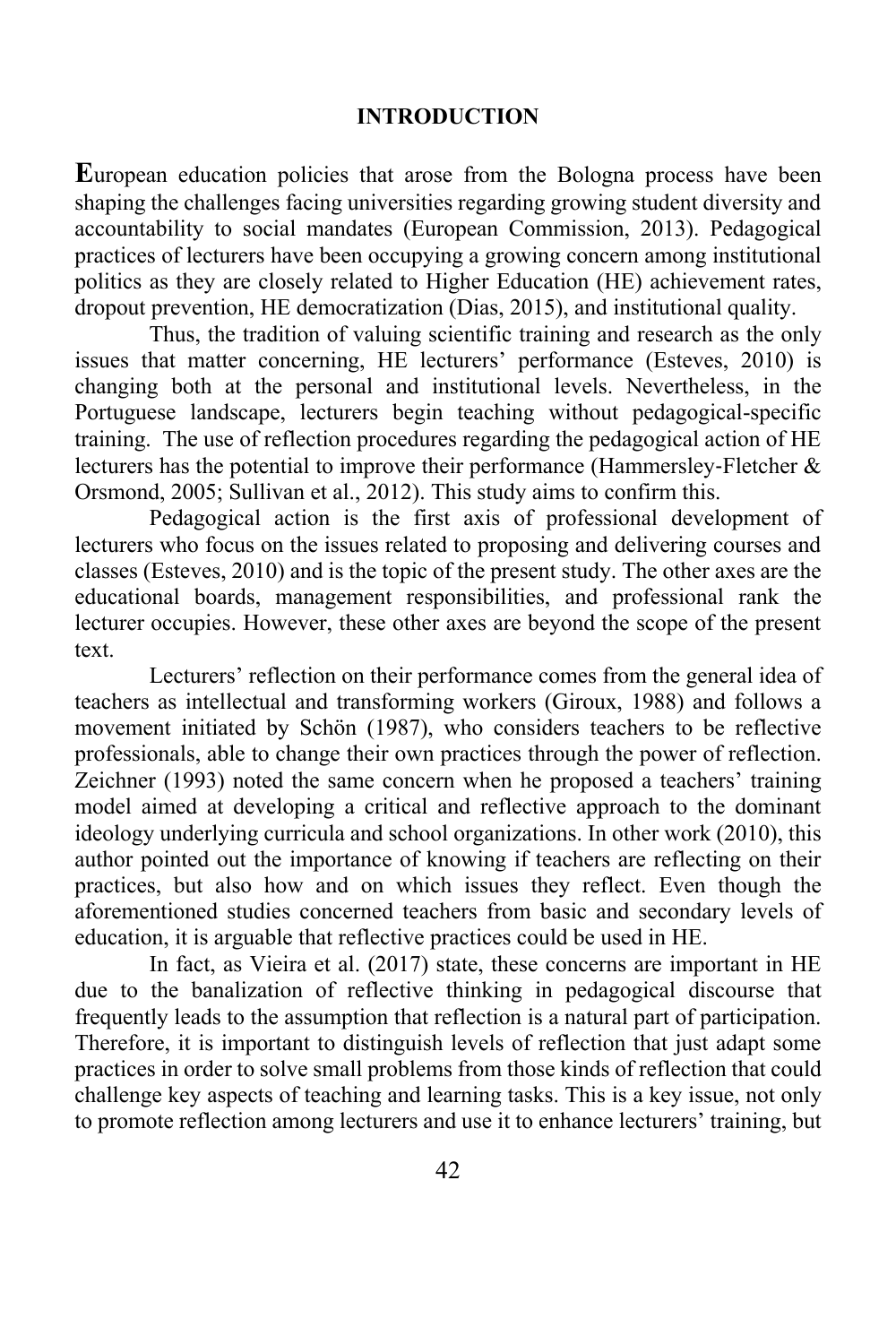#### **INTRODUCTION**

**E**uropean education policies that arose from the Bologna process have been shaping the challenges facing universities regarding growing student diversity and accountability to social mandates (European Commission, 2013). Pedagogical practices of lecturers have been occupying a growing concern among institutional politics as they are closely related to Higher Education (HE) achievement rates, dropout prevention, HE democratization (Dias, 2015), and institutional quality.

Thus, the tradition of valuing scientific training and research as the only issues that matter concerning, HE lecturers' performance (Esteves, 2010) is changing both at the personal and institutional levels. Nevertheless, in the Portuguese landscape, lecturers begin teaching without pedagogical-specific training. The use of reflection procedures regarding the pedagogical action of HE lecturers has the potential to improve their performance (Hammersley-Fletcher & Orsmond, 2005; Sullivan et al., 2012). This study aims to confirm this.

Pedagogical action is the first axis of professional development of lecturers who focus on the issues related to proposing and delivering courses and classes (Esteves, 2010) and is the topic of the present study. The other axes are the educational boards, management responsibilities, and professional rank the lecturer occupies. However, these other axes are beyond the scope of the present text.

Lecturers' reflection on their performance comes from the general idea of teachers as intellectual and transforming workers (Giroux, 1988) and follows a movement initiated by Schön (1987), who considers teachers to be reflective professionals, able to change their own practices through the power of reflection. Zeichner (1993) noted the same concern when he proposed a teachers' training model aimed at developing a critical and reflective approach to the dominant ideology underlying curricula and school organizations. In other work (2010), this author pointed out the importance of knowing if teachers are reflecting on their practices, but also how and on which issues they reflect. Even though the aforementioned studies concerned teachers from basic and secondary levels of education, it is arguable that reflective practices could be used in HE.

In fact, as Vieira et al. (2017) state, these concerns are important in HE due to the banalization of reflective thinking in pedagogical discourse that frequently leads to the assumption that reflection is a natural part of participation. Therefore, it is important to distinguish levels of reflection that just adapt some practices in order to solve small problems from those kinds of reflection that could challenge key aspects of teaching and learning tasks. This is a key issue, not only to promote reflection among lecturers and use it to enhance lecturers' training, but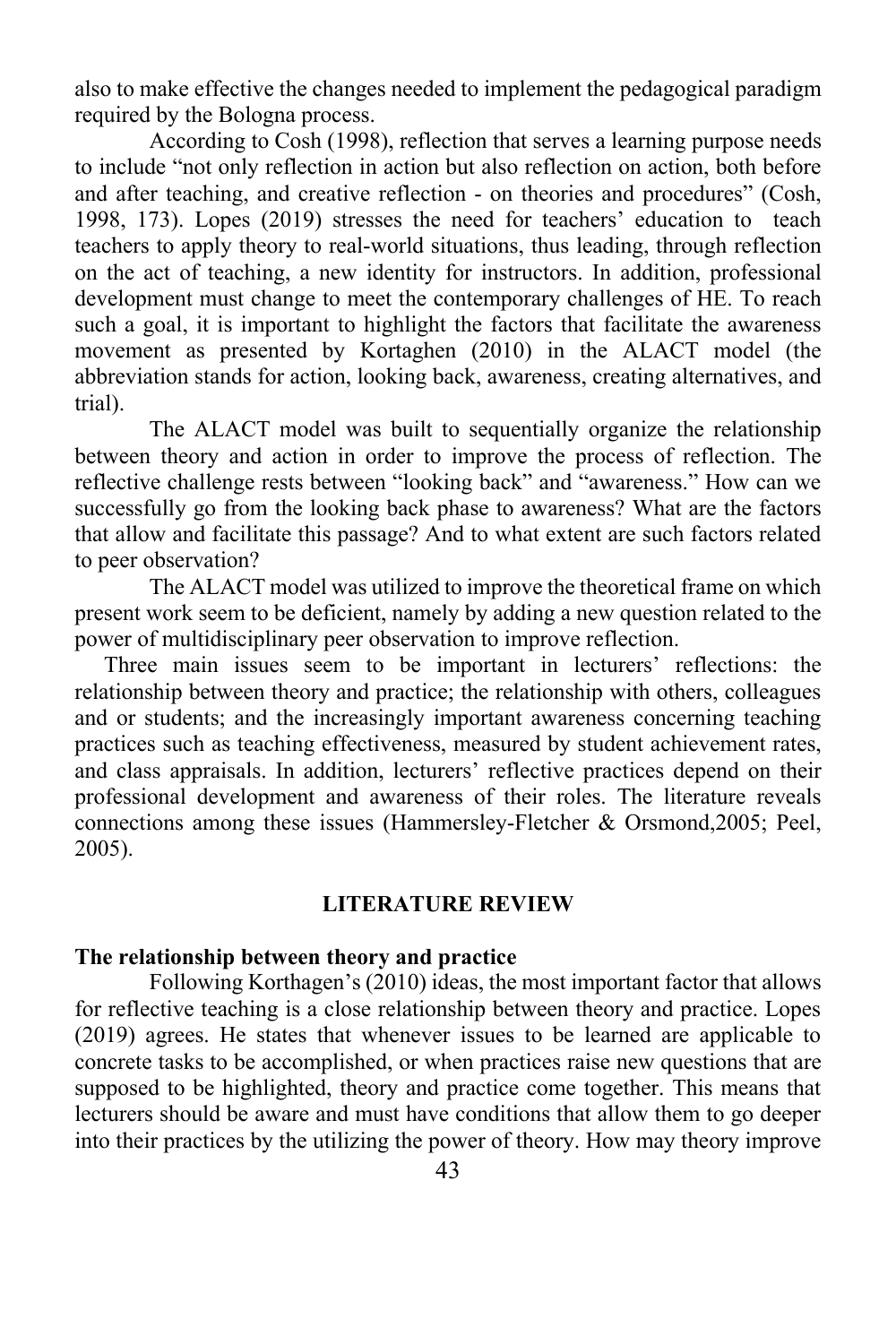also to make effective the changes needed to implement the pedagogical paradigm required by the Bologna process.

According to Cosh (1998), reflection that serves a learning purpose needs to include "not only reflection in action but also reflection on action, both before and after teaching, and creative reflection - on theories and procedures" (Cosh, 1998, 173). Lopes (2019) stresses the need for teachers' education to teach teachers to apply theory to real-world situations, thus leading, through reflection on the act of teaching, a new identity for instructors. In addition, professional development must change to meet the contemporary challenges of HE. To reach such a goal, it is important to highlight the factors that facilitate the awareness movement as presented by Kortaghen (2010) in the ALACT model (the abbreviation stands for action, looking back, awareness, creating alternatives, and trial).

The ALACT model was built to sequentially organize the relationship between theory and action in order to improve the process of reflection. The reflective challenge rests between "looking back" and "awareness." How can we successfully go from the looking back phase to awareness? What are the factors that allow and facilitate this passage? And to what extent are such factors related to peer observation?

The ALACT model was utilized to improve the theoretical frame on which present work seem to be deficient, namely by adding a new question related to the power of multidisciplinary peer observation to improve reflection.

Three main issues seem to be important in lecturers' reflections: the relationship between theory and practice; the relationship with others, colleagues and or students; and the increasingly important awareness concerning teaching practices such as teaching effectiveness, measured by student achievement rates, and class appraisals. In addition, lecturers' reflective practices depend on their professional development and awareness of their roles. The literature reveals connections among these issues (Hammersley-Fletcher & Orsmond,2005; Peel, 2005).

#### **LITERATURE REVIEW**

#### **The relationship between theory and practice**

Following Korthagen's (2010) ideas, the most important factor that allows for reflective teaching is a close relationship between theory and practice. Lopes (2019) agrees. He states that whenever issues to be learned are applicable to concrete tasks to be accomplished, or when practices raise new questions that are supposed to be highlighted, theory and practice come together. This means that lecturers should be aware and must have conditions that allow them to go deeper into their practices by the utilizing the power of theory. How may theory improve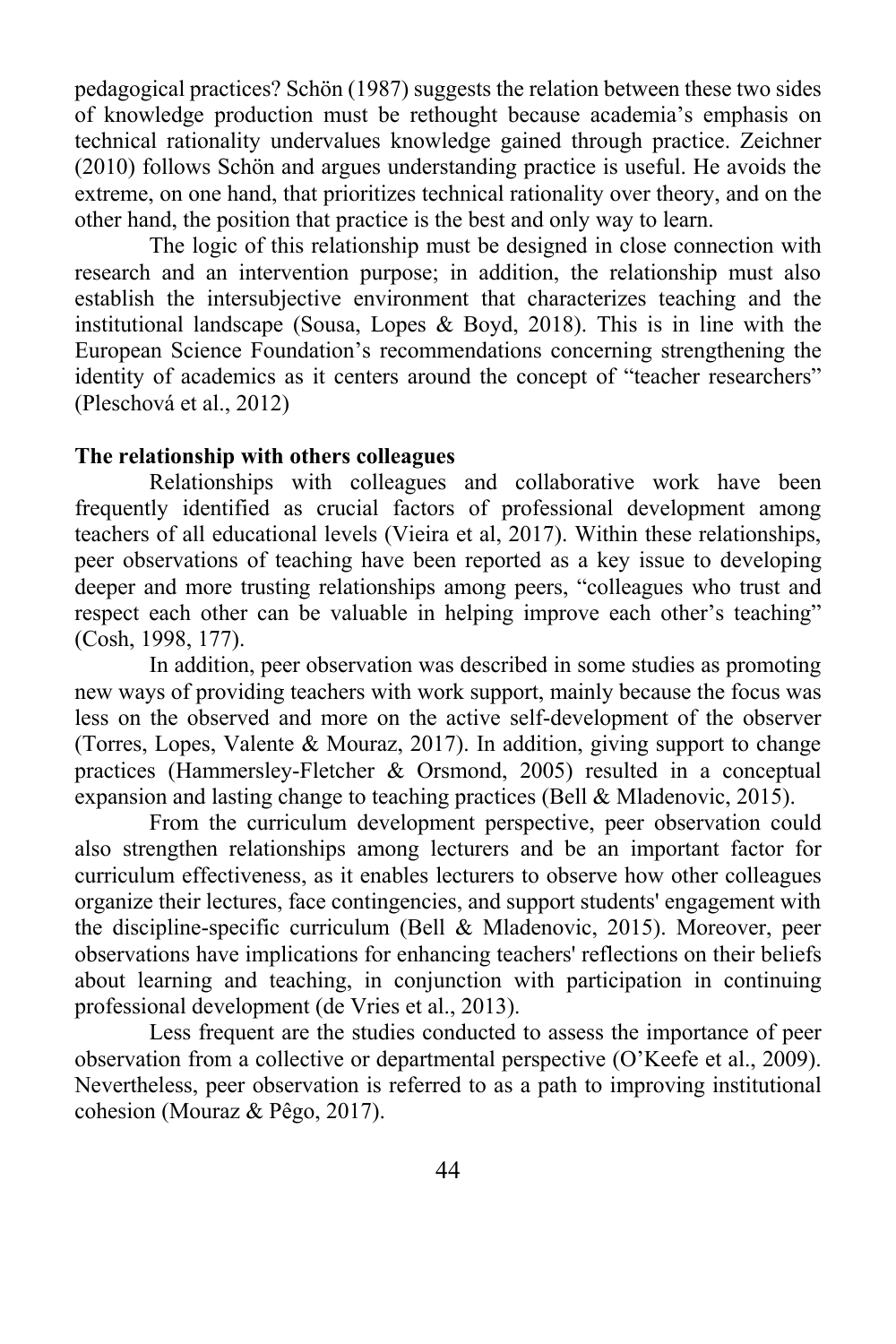pedagogical practices? Schön (1987) suggests the relation between these two sides of knowledge production must be rethought because academia's emphasis on technical rationality undervalues knowledge gained through practice. Zeichner (2010) follows Schön and argues understanding practice is useful. He avoids the extreme, on one hand, that prioritizes technical rationality over theory, and on the other hand, the position that practice is the best and only way to learn.

The logic of this relationship must be designed in close connection with research and an intervention purpose; in addition, the relationship must also establish the intersubjective environment that characterizes teaching and the institutional landscape (Sousa, Lopes & Boyd, 2018). This is in line with the European Science Foundation's recommendations concerning strengthening the identity of academics as it centers around the concept of "teacher researchers" (Pleschová et al., 2012)

#### **The relationship with others colleagues**

Relationships with colleagues and collaborative work have been frequently identified as crucial factors of professional development among teachers of all educational levels (Vieira et al, 2017). Within these relationships, peer observations of teaching have been reported as a key issue to developing deeper and more trusting relationships among peers, "colleagues who trust and respect each other can be valuable in helping improve each other's teaching" (Cosh, 1998, 177).

In addition, peer observation was described in some studies as promoting new ways of providing teachers with work support, mainly because the focus was less on the observed and more on the active self-development of the observer (Torres, Lopes, Valente & Mouraz, 2017). In addition, giving support to change practices (Hammersley-Fletcher & Orsmond, 2005) resulted in a conceptual expansion and lasting change to teaching practices (Bell & Mladenovic, 2015).

From the curriculum development perspective, peer observation could also strengthen relationships among lecturers and be an important factor for curriculum effectiveness, as it enables lecturers to observe how other colleagues organize their lectures, face contingencies, and support students' engagement with the discipline-specific curriculum (Bell & Mladenovic, 2015). Moreover, peer observations have implications for enhancing teachers' reflections on their beliefs about learning and teaching, in conjunction with participation in continuing professional development (de Vries et al., 2013).

Less frequent are the studies conducted to assess the importance of peer observation from a collective or departmental perspective (O'Keefe et al., 2009). Nevertheless, peer observation is referred to as a path to improving institutional cohesion (Mouraz & Pêgo, 2017).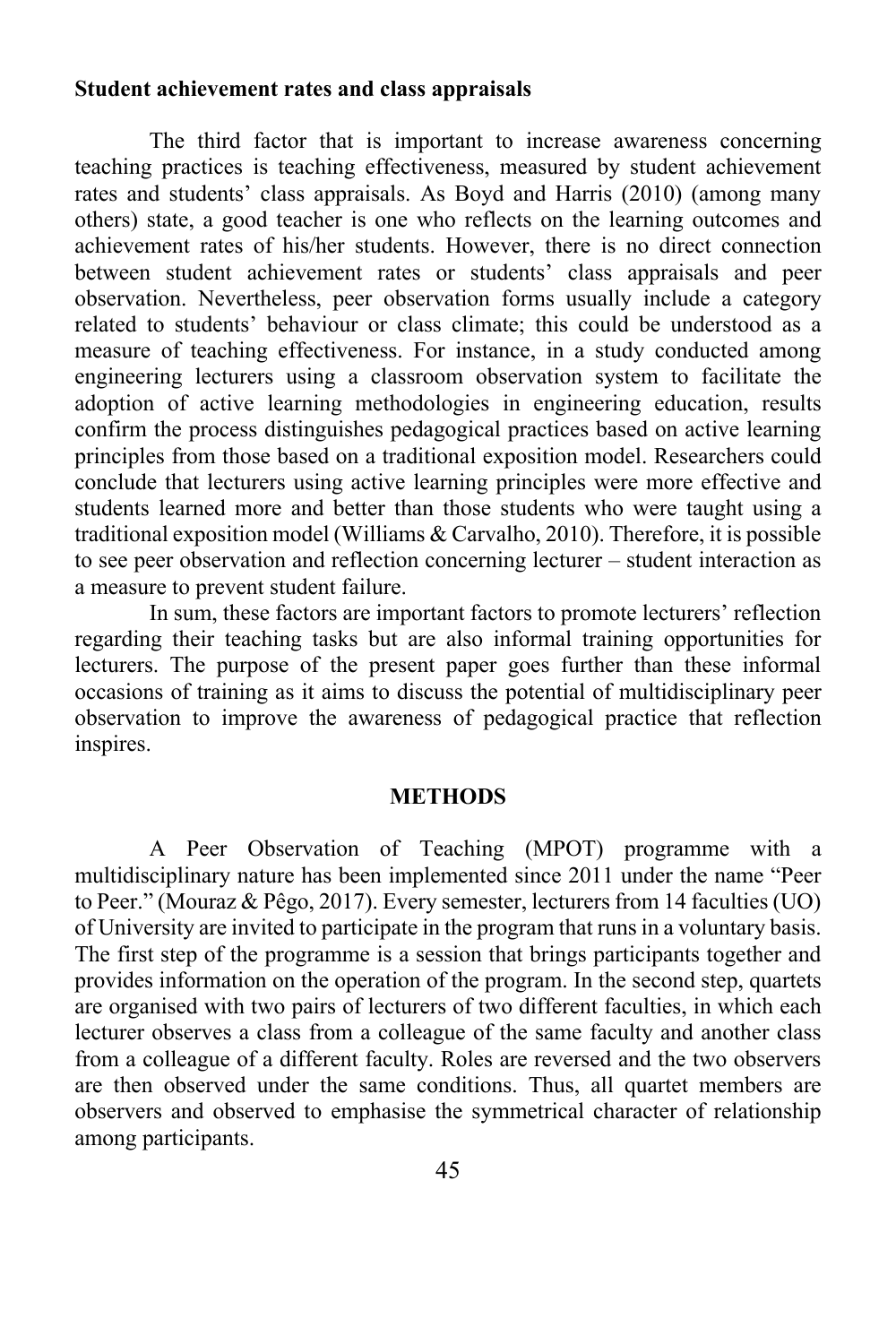#### **Student achievement rates and class appraisals**

The third factor that is important to increase awareness concerning teaching practices is teaching effectiveness, measured by student achievement rates and students' class appraisals. As Boyd and Harris (2010) (among many others) state, a good teacher is one who reflects on the learning outcomes and achievement rates of his/her students. However, there is no direct connection between student achievement rates or students' class appraisals and peer observation. Nevertheless, peer observation forms usually include a category related to students' behaviour or class climate; this could be understood as a measure of teaching effectiveness. For instance, in a study conducted among engineering lecturers using a classroom observation system to facilitate the adoption of active learning methodologies in engineering education, results confirm the process distinguishes pedagogical practices based on active learning principles from those based on a traditional exposition model. Researchers could conclude that lecturers using active learning principles were more effective and students learned more and better than those students who were taught using a traditional exposition model (Williams & Carvalho, 2010). Therefore, it is possible to see peer observation and reflection concerning lecturer – student interaction as a measure to prevent student failure.

In sum, these factors are important factors to promote lecturers' reflection regarding their teaching tasks but are also informal training opportunities for lecturers. The purpose of the present paper goes further than these informal occasions of training as it aims to discuss the potential of multidisciplinary peer observation to improve the awareness of pedagogical practice that reflection inspires.

#### **METHODS**

A Peer Observation of Teaching (MPOT) programme with a multidisciplinary nature has been implemented since 2011 under the name "Peer to Peer." (Mouraz & Pêgo, 2017). Every semester, lecturers from 14 faculties (UO) of University are invited to participate in the program that runs in a voluntary basis. The first step of the programme is a session that brings participants together and provides information on the operation of the program. In the second step, quartets are organised with two pairs of lecturers of two different faculties, in which each lecturer observes a class from a colleague of the same faculty and another class from a colleague of a different faculty. Roles are reversed and the two observers are then observed under the same conditions. Thus, all quartet members are observers and observed to emphasise the symmetrical character of relationship among participants.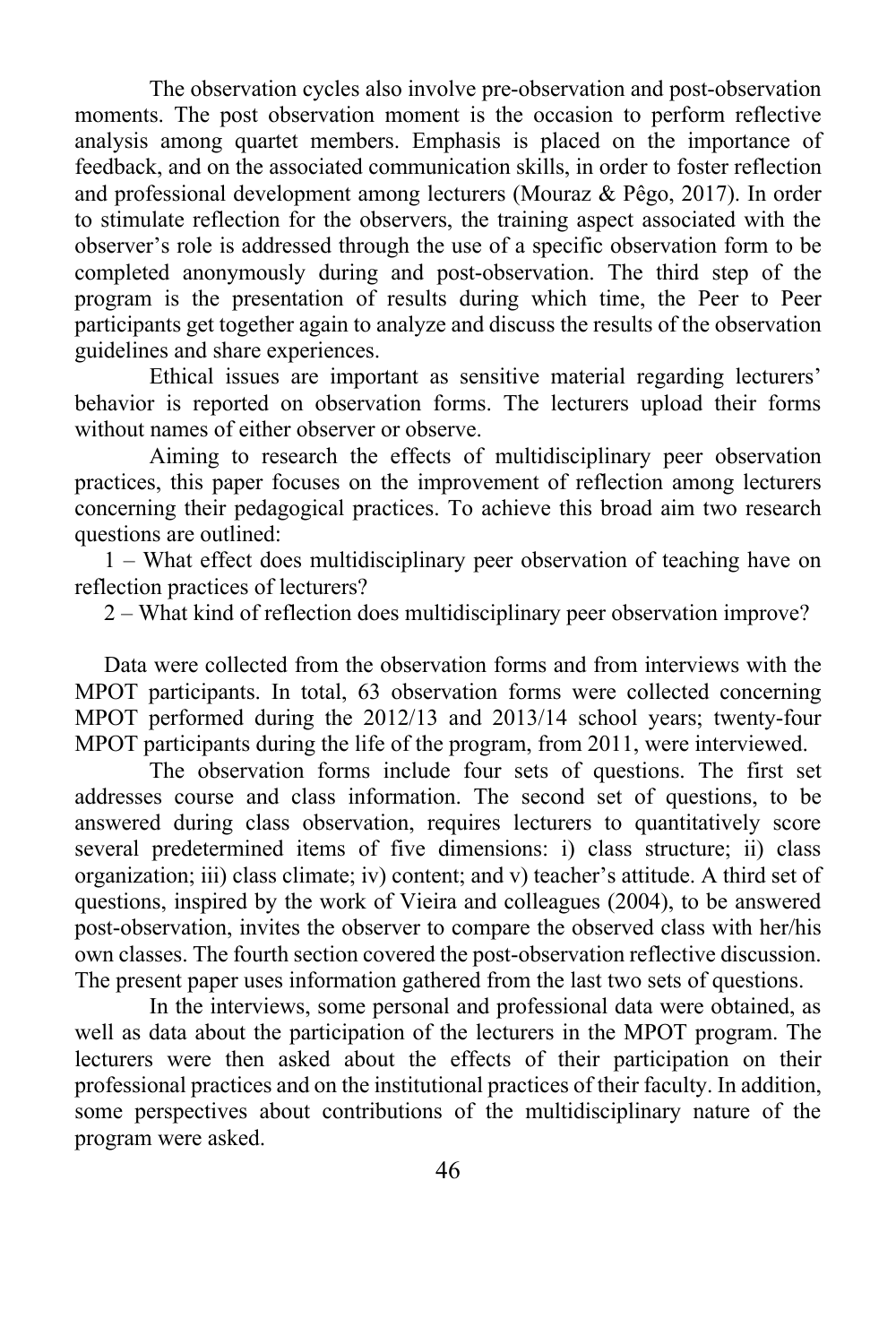The observation cycles also involve pre-observation and post-observation moments. The post observation moment is the occasion to perform reflective analysis among quartet members. Emphasis is placed on the importance of feedback, and on the associated communication skills, in order to foster reflection and professional development among lecturers (Mouraz & Pêgo, 2017). In order to stimulate reflection for the observers, the training aspect associated with the observer's role is addressed through the use of a specific observation form to be completed anonymously during and post-observation. The third step of the program is the presentation of results during which time, the Peer to Peer participants get together again to analyze and discuss the results of the observation guidelines and share experiences.

Ethical issues are important as sensitive material regarding lecturers' behavior is reported on observation forms. The lecturers upload their forms without names of either observer or observe.

Aiming to research the effects of multidisciplinary peer observation practices, this paper focuses on the improvement of reflection among lecturers concerning their pedagogical practices. To achieve this broad aim two research questions are outlined:

1 – What effect does multidisciplinary peer observation of teaching have on reflection practices of lecturers?

2 – What kind of reflection does multidisciplinary peer observation improve?

Data were collected from the observation forms and from interviews with the MPOT participants. In total, 63 observation forms were collected concerning MPOT performed during the 2012/13 and 2013/14 school years; twenty-four MPOT participants during the life of the program, from 2011, were interviewed.

The observation forms include four sets of questions. The first set addresses course and class information. The second set of questions, to be answered during class observation, requires lecturers to quantitatively score several predetermined items of five dimensions: i) class structure; ii) class organization; iii) class climate; iv) content; and v) teacher's attitude. A third set of questions, inspired by the work of Vieira and colleagues (2004), to be answered post-observation, invites the observer to compare the observed class with her/his own classes. The fourth section covered the post-observation reflective discussion. The present paper uses information gathered from the last two sets of questions.

In the interviews, some personal and professional data were obtained, as well as data about the participation of the lecturers in the MPOT program. The lecturers were then asked about the effects of their participation on their professional practices and on the institutional practices of their faculty. In addition, some perspectives about contributions of the multidisciplinary nature of the program were asked.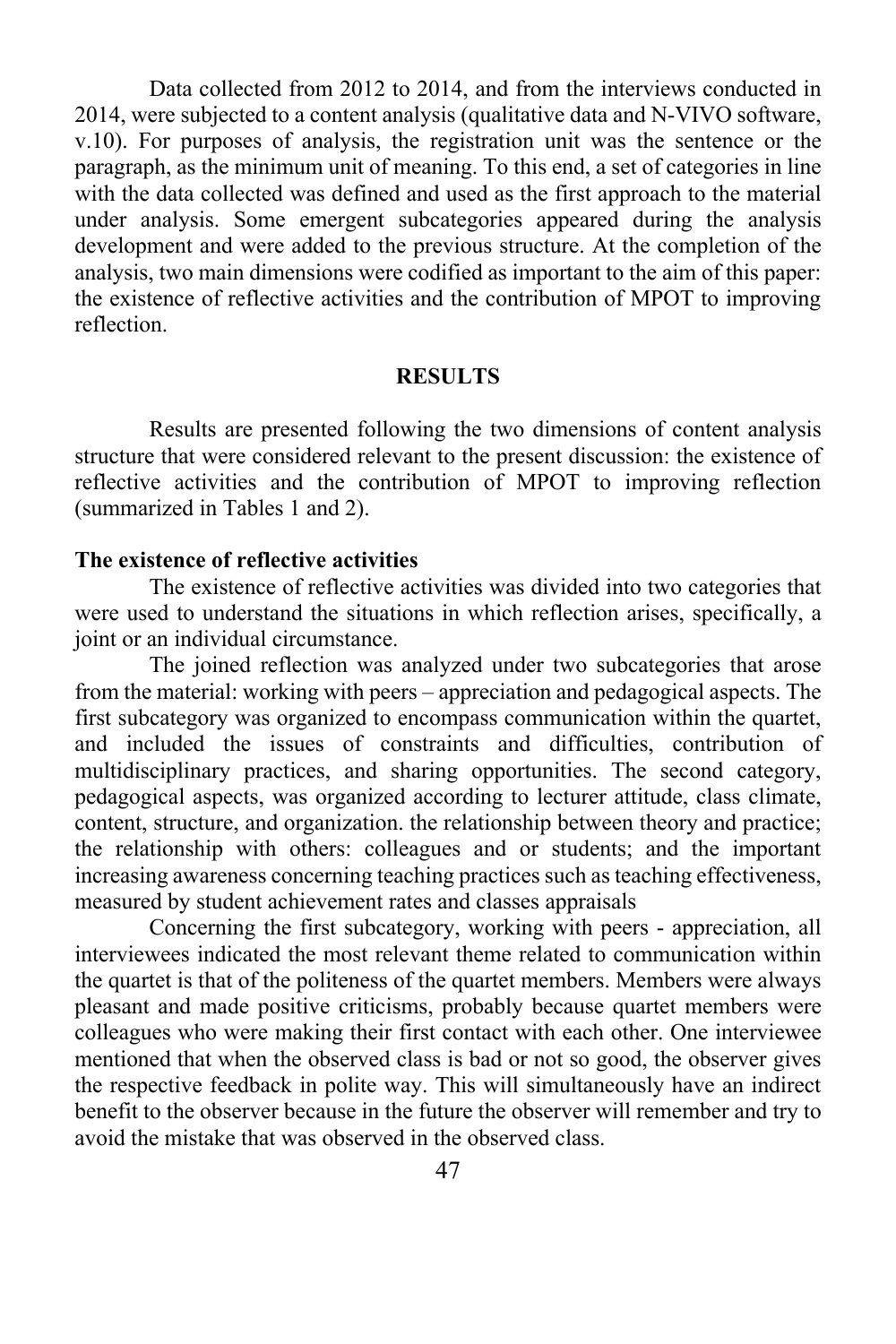Data collected from 2012 to 2014, and from the interviews conducted in 2014, were subjected to a content analysis (qualitative data and N-VIVO software, v.10). For purposes of analysis, the registration unit was the sentence or the paragraph, as the minimum unit of meaning. To this end, a set of categories in line with the data collected was defined and used as the first approach to the material under analysis. Some emergent subcategories appeared during the analysis development and were added to the previous structure. At the completion of the analysis, two main dimensions were codified as important to the aim of this paper: the existence of reflective activities and the contribution of MPOT to improving reflection.

#### **RESULTS**

Results are presented following the two dimensions of content analysis structure that were considered relevant to the present discussion: the existence of reflective activities and the contribution of MPOT to improving reflection (summarized in Tables 1 and 2).

#### **The existence of reflective activities**

The existence of reflective activities was divided into two categories that were used to understand the situations in which reflection arises, specifically, a joint or an individual circumstance.

The joined reflection was analyzed under two subcategories that arose from the material: working with peers – appreciation and pedagogical aspects. The first subcategory was organized to encompass communication within the quartet, and included the issues of constraints and difficulties, contribution of multidisciplinary practices, and sharing opportunities. The second category, pedagogical aspects, was organized according to lecturer attitude, class climate, content, structure, and organization. the relationship between theory and practice; the relationship with others: colleagues and or students; and the important increasing awareness concerning teaching practices such as teaching effectiveness, measured by student achievement rates and classes appraisals

Concerning the first subcategory, working with peers - appreciation, all interviewees indicated the most relevant theme related to communication within the quartet is that of the politeness of the quartet members. Members were always pleasant and made positive criticisms, probably because quartet members were colleagues who were making their first contact with each other. One interviewee mentioned that when the observed class is bad or not so good, the observer gives the respective feedback in polite way. This will simultaneously have an indirect benefit to the observer because in the future the observer will remember and try to avoid the mistake that was observed in the observed class.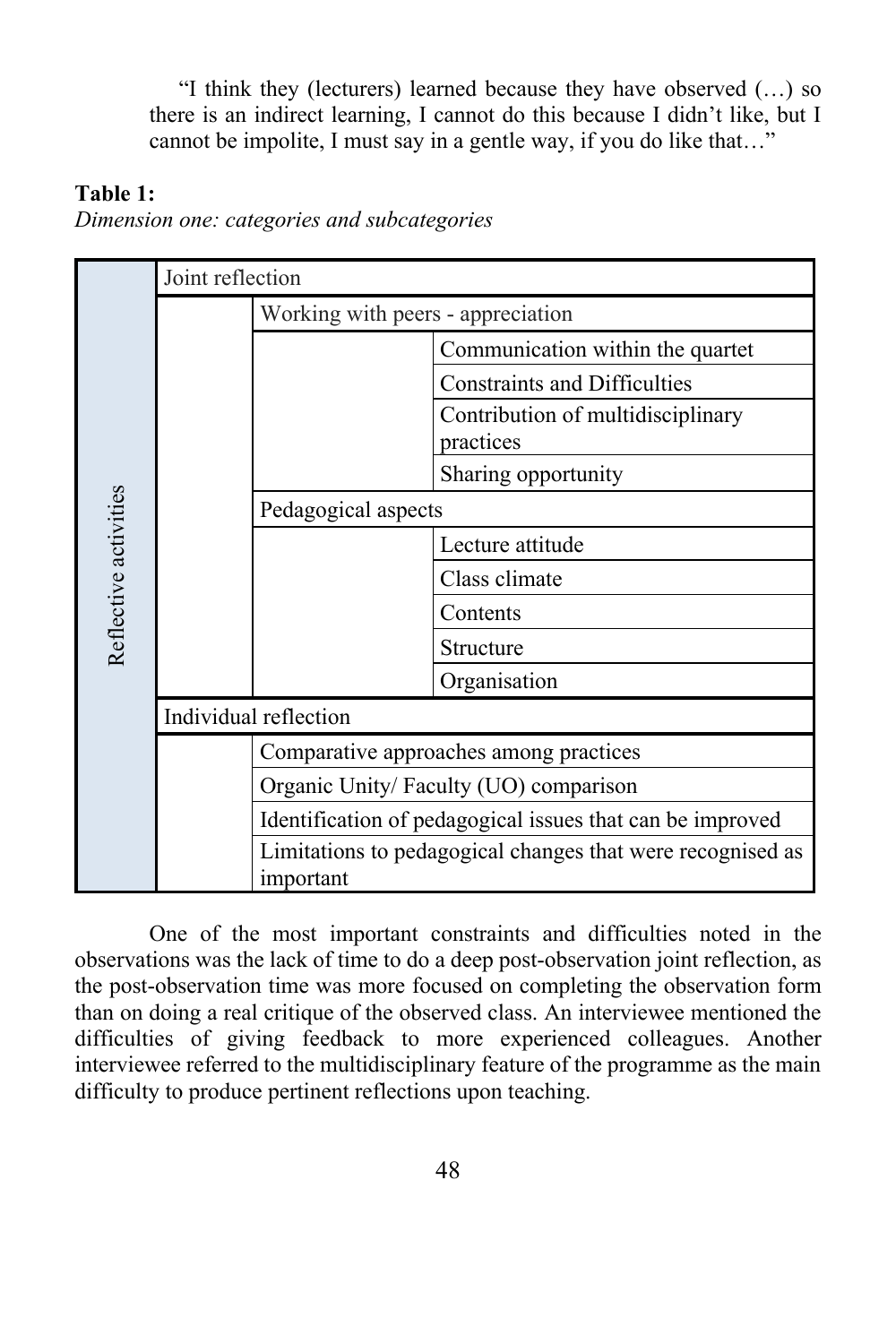"I think they (lecturers) learned because they have observed (…) so there is an indirect learning, I cannot do this because I didn't like, but I cannot be impolite, I must say in a gentle way, if you do like that…"

### **Table 1:**

*Dimension one: categories and subcategories*

| Reflective activities | Joint reflection      |                                                                         |                                                |  |
|-----------------------|-----------------------|-------------------------------------------------------------------------|------------------------------------------------|--|
|                       |                       | Working with peers - appreciation                                       |                                                |  |
|                       |                       |                                                                         | Communication within the quartet               |  |
|                       |                       |                                                                         | <b>Constraints and Difficulties</b>            |  |
|                       |                       |                                                                         | Contribution of multidisciplinary<br>practices |  |
|                       |                       |                                                                         | Sharing opportunity                            |  |
|                       |                       | Pedagogical aspects                                                     |                                                |  |
|                       |                       |                                                                         | Lecture attitude                               |  |
|                       |                       |                                                                         | Class climate                                  |  |
|                       |                       |                                                                         | Contents                                       |  |
|                       |                       |                                                                         | Structure                                      |  |
|                       |                       |                                                                         | Organisation                                   |  |
|                       | Individual reflection |                                                                         |                                                |  |
|                       |                       | Comparative approaches among practices                                  |                                                |  |
|                       |                       | Organic Unity/Faculty (UO) comparison                                   |                                                |  |
|                       |                       | Identification of pedagogical issues that can be improved               |                                                |  |
|                       |                       | Limitations to pedagogical changes that were recognised as<br>important |                                                |  |

One of the most important constraints and difficulties noted in the observations was the lack of time to do a deep post-observation joint reflection, as the post-observation time was more focused on completing the observation form than on doing a real critique of the observed class. An interviewee mentioned the difficulties of giving feedback to more experienced colleagues. Another interviewee referred to the multidisciplinary feature of the programme as the main difficulty to produce pertinent reflections upon teaching.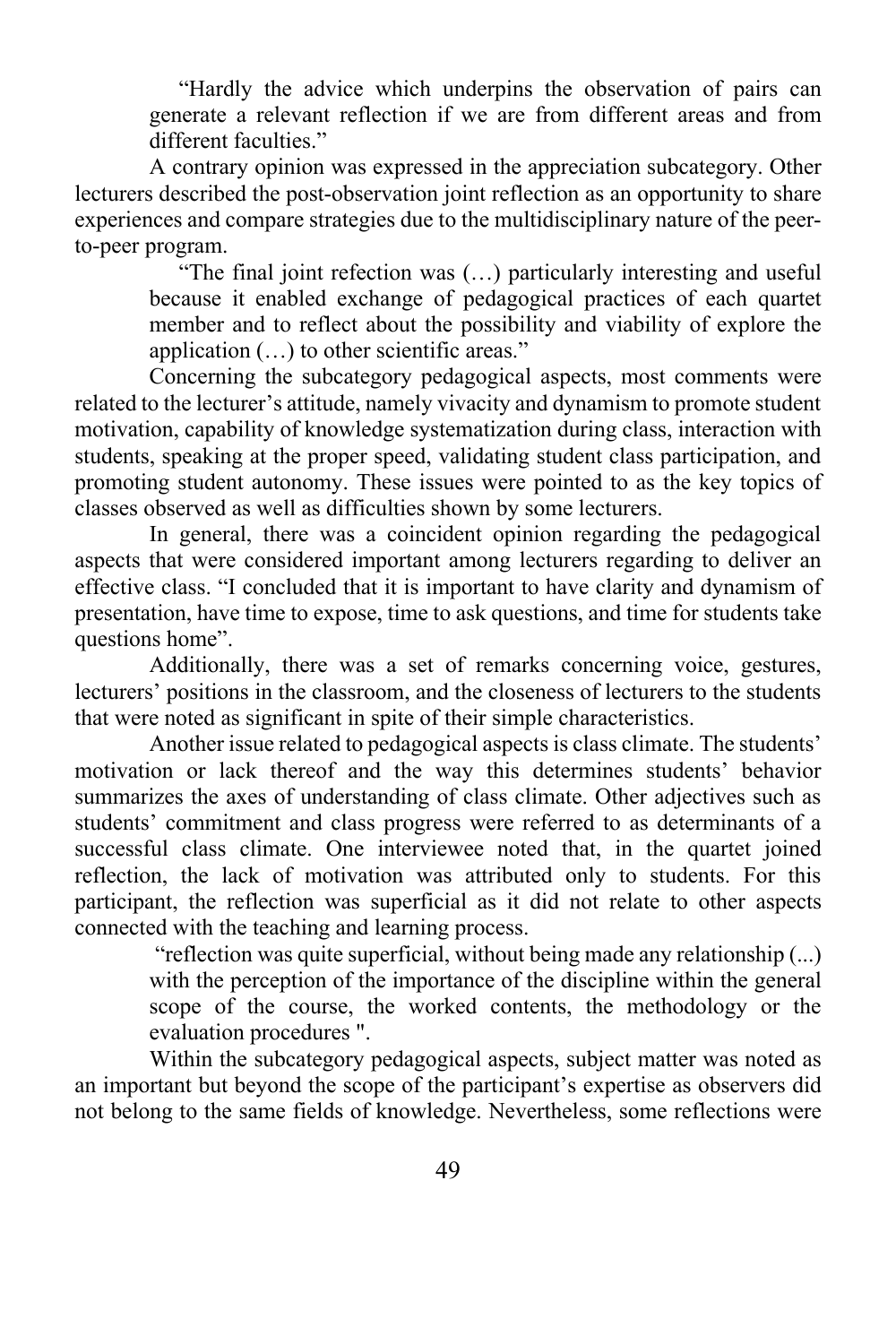"Hardly the advice which underpins the observation of pairs can generate a relevant reflection if we are from different areas and from different faculties."

A contrary opinion was expressed in the appreciation subcategory. Other lecturers described the post-observation joint reflection as an opportunity to share experiences and compare strategies due to the multidisciplinary nature of the peerto-peer program.

"The final joint refection was (…) particularly interesting and useful because it enabled exchange of pedagogical practices of each quartet member and to reflect about the possibility and viability of explore the application (…) to other scientific areas."

Concerning the subcategory pedagogical aspects, most comments were related to the lecturer's attitude, namely vivacity and dynamism to promote student motivation, capability of knowledge systematization during class, interaction with students, speaking at the proper speed, validating student class participation, and promoting student autonomy. These issues were pointed to as the key topics of classes observed as well as difficulties shown by some lecturers.

In general, there was a coincident opinion regarding the pedagogical aspects that were considered important among lecturers regarding to deliver an effective class. "I concluded that it is important to have clarity and dynamism of presentation, have time to expose, time to ask questions, and time for students take questions home".

Additionally, there was a set of remarks concerning voice, gestures, lecturers' positions in the classroom, and the closeness of lecturers to the students that were noted as significant in spite of their simple characteristics.

Another issue related to pedagogical aspects is class climate. The students' motivation or lack thereof and the way this determines students' behavior summarizes the axes of understanding of class climate. Other adjectives such as students' commitment and class progress were referred to as determinants of a successful class climate. One interviewee noted that, in the quartet joined reflection, the lack of motivation was attributed only to students. For this participant, the reflection was superficial as it did not relate to other aspects connected with the teaching and learning process.

"reflection was quite superficial, without being made any relationship (...) with the perception of the importance of the discipline within the general scope of the course, the worked contents, the methodology or the evaluation procedures ".

Within the subcategory pedagogical aspects, subject matter was noted as an important but beyond the scope of the participant's expertise as observers did not belong to the same fields of knowledge. Nevertheless, some reflections were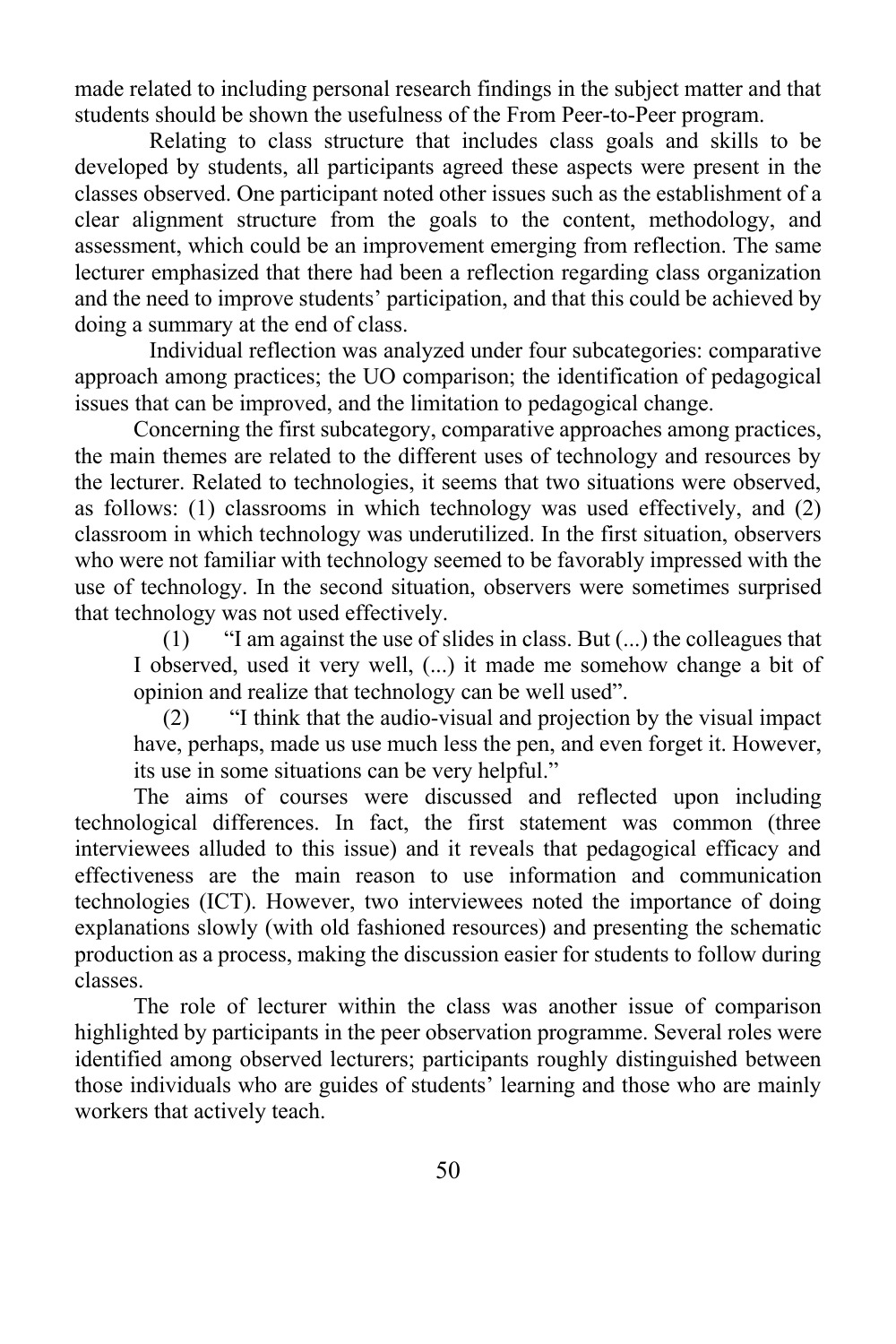made related to including personal research findings in the subject matter and that students should be shown the usefulness of the From Peer-to-Peer program.

Relating to class structure that includes class goals and skills to be developed by students, all participants agreed these aspects were present in the classes observed. One participant noted other issues such as the establishment of a clear alignment structure from the goals to the content, methodology, and assessment, which could be an improvement emerging from reflection. The same lecturer emphasized that there had been a reflection regarding class organization and the need to improve students' participation, and that this could be achieved by doing a summary at the end of class.

Individual reflection was analyzed under four subcategories: comparative approach among practices; the UO comparison; the identification of pedagogical issues that can be improved, and the limitation to pedagogical change.

Concerning the first subcategory, comparative approaches among practices, the main themes are related to the different uses of technology and resources by the lecturer. Related to technologies, it seems that two situations were observed, as follows: (1) classrooms in which technology was used effectively, and (2) classroom in which technology was underutilized. In the first situation, observers who were not familiar with technology seemed to be favorably impressed with the use of technology. In the second situation, observers were sometimes surprised that technology was not used effectively.

(1) "I am against the use of slides in class. But (...) the colleagues that I observed, used it very well, (...) it made me somehow change a bit of opinion and realize that technology can be well used".

(2) "I think that the audio-visual and projection by the visual impact have, perhaps, made us use much less the pen, and even forget it. However, its use in some situations can be very helpful."

The aims of courses were discussed and reflected upon including technological differences. In fact, the first statement was common (three interviewees alluded to this issue) and it reveals that pedagogical efficacy and effectiveness are the main reason to use information and communication technologies (ICT). However, two interviewees noted the importance of doing explanations slowly (with old fashioned resources) and presenting the schematic production as a process, making the discussion easier for students to follow during classes.

The role of lecturer within the class was another issue of comparison highlighted by participants in the peer observation programme. Several roles were identified among observed lecturers; participants roughly distinguished between those individuals who are guides of students' learning and those who are mainly workers that actively teach.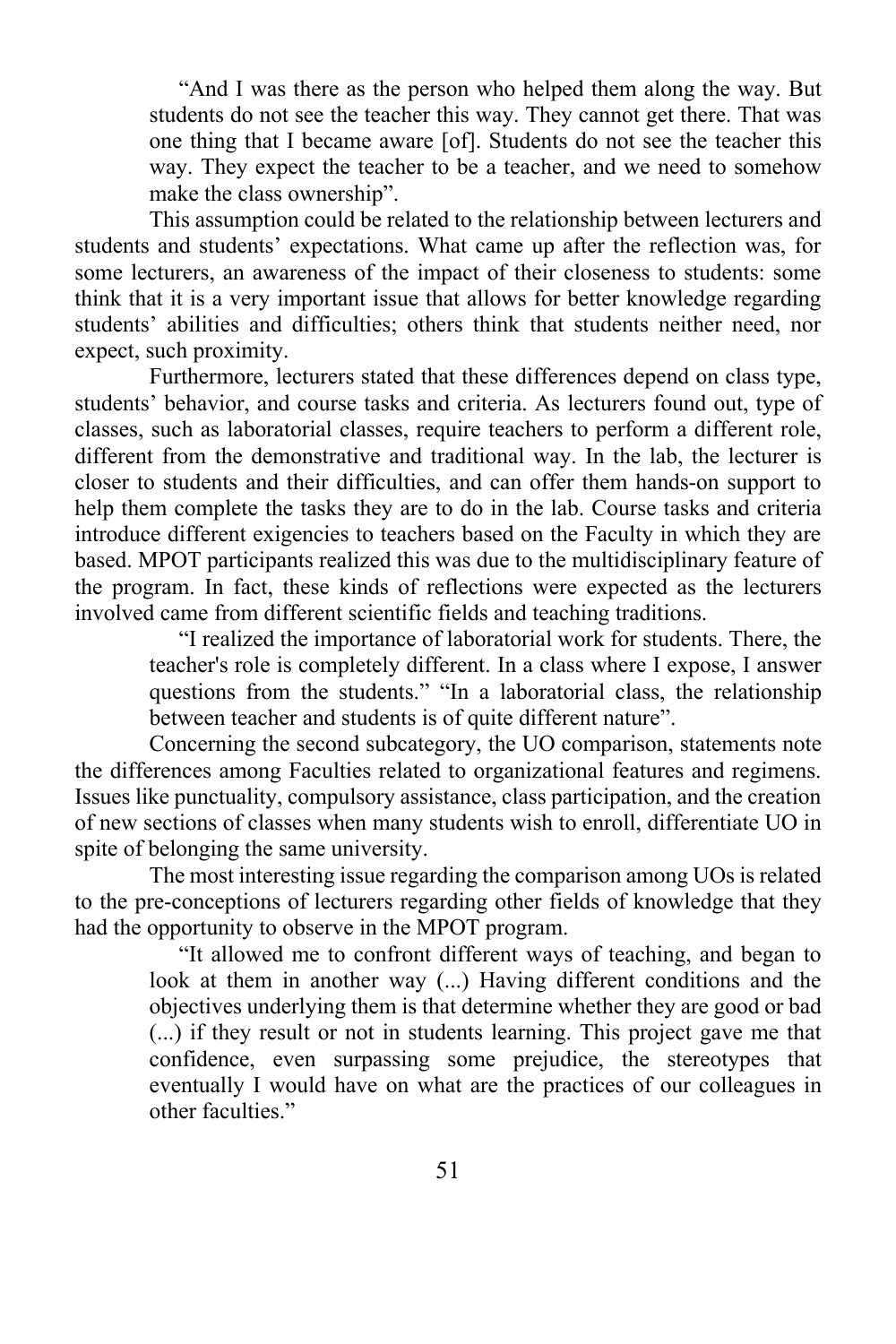"And I was there as the person who helped them along the way. But students do not see the teacher this way. They cannot get there. That was one thing that I became aware [of]. Students do not see the teacher this way. They expect the teacher to be a teacher, and we need to somehow make the class ownership".

This assumption could be related to the relationship between lecturers and students and students' expectations. What came up after the reflection was, for some lecturers, an awareness of the impact of their closeness to students: some think that it is a very important issue that allows for better knowledge regarding students' abilities and difficulties; others think that students neither need, nor expect, such proximity.

Furthermore, lecturers stated that these differences depend on class type, students' behavior, and course tasks and criteria. As lecturers found out, type of classes, such as laboratorial classes, require teachers to perform a different role, different from the demonstrative and traditional way. In the lab, the lecturer is closer to students and their difficulties, and can offer them hands-on support to help them complete the tasks they are to do in the lab. Course tasks and criteria introduce different exigencies to teachers based on the Faculty in which they are based. MPOT participants realized this was due to the multidisciplinary feature of the program. In fact, these kinds of reflections were expected as the lecturers involved came from different scientific fields and teaching traditions.

"I realized the importance of laboratorial work for students. There, the teacher's role is completely different. In a class where I expose, I answer questions from the students." "In a laboratorial class, the relationship between teacher and students is of quite different nature".

Concerning the second subcategory, the UO comparison, statements note the differences among Faculties related to organizational features and regimens. Issues like punctuality, compulsory assistance, class participation, and the creation of new sections of classes when many students wish to enroll, differentiate UO in spite of belonging the same university.

The most interesting issue regarding the comparison among UOs is related to the pre-conceptions of lecturers regarding other fields of knowledge that they had the opportunity to observe in the MPOT program.

"It allowed me to confront different ways of teaching, and began to look at them in another way (...) Having different conditions and the objectives underlying them is that determine whether they are good or bad (...) if they result or not in students learning. This project gave me that confidence, even surpassing some prejudice, the stereotypes that eventually I would have on what are the practices of our colleagues in other faculties."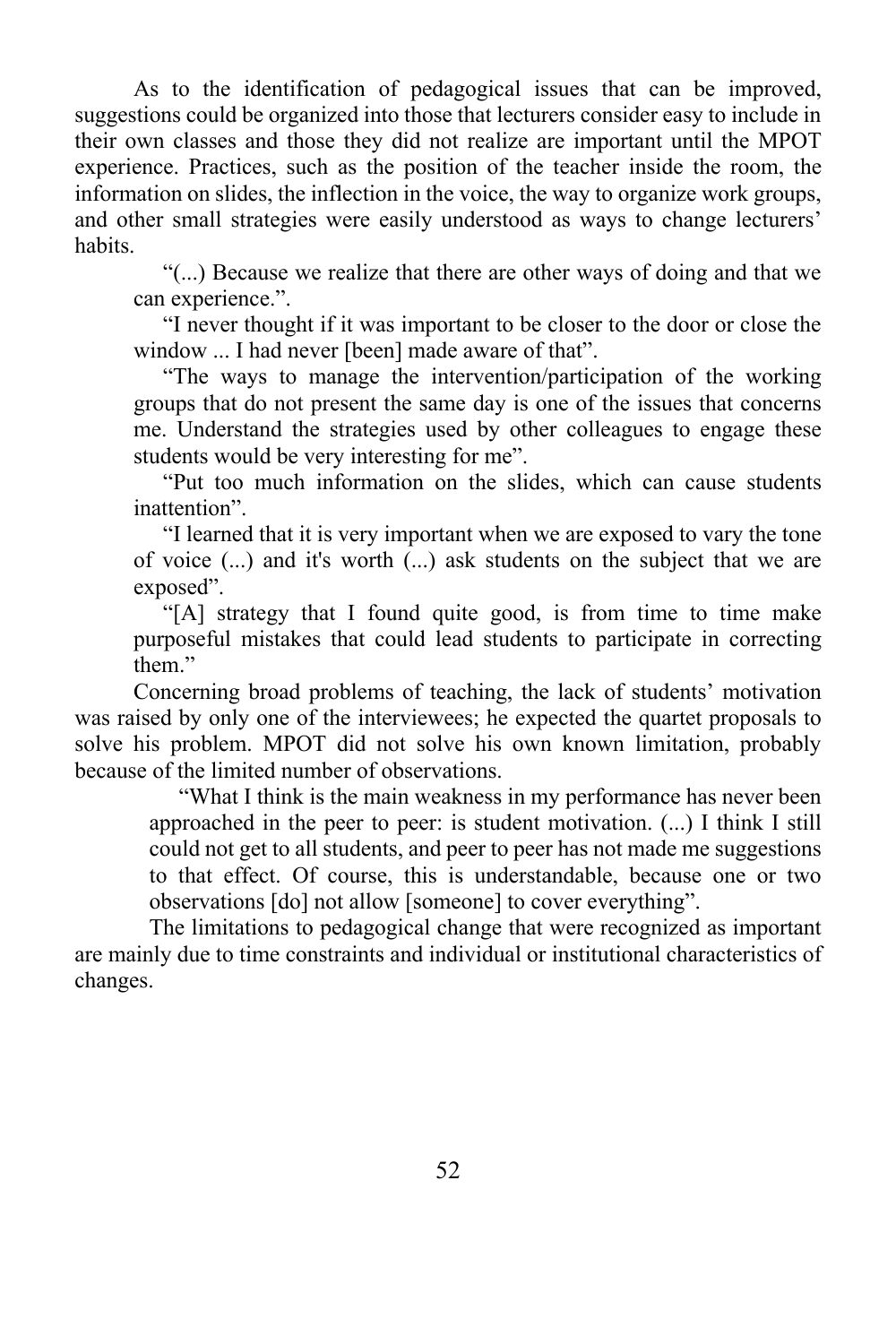As to the identification of pedagogical issues that can be improved, suggestions could be organized into those that lecturers consider easy to include in their own classes and those they did not realize are important until the MPOT experience. Practices, such as the position of the teacher inside the room, the information on slides, the inflection in the voice, the way to organize work groups, and other small strategies were easily understood as ways to change lecturers' habits.

"(...) Because we realize that there are other ways of doing and that we can experience.".

"I never thought if it was important to be closer to the door or close the window ... I had never [been] made aware of that".

"The ways to manage the intervention/participation of the working groups that do not present the same day is one of the issues that concerns me. Understand the strategies used by other colleagues to engage these students would be very interesting for me".

"Put too much information on the slides, which can cause students inattention".

"I learned that it is very important when we are exposed to vary the tone of voice (...) and it's worth (...) ask students on the subject that we are exposed".

"[A] strategy that I found quite good, is from time to time make purposeful mistakes that could lead students to participate in correcting them."

Concerning broad problems of teaching, the lack of students' motivation was raised by only one of the interviewees; he expected the quartet proposals to solve his problem. MPOT did not solve his own known limitation, probably because of the limited number of observations.

"What I think is the main weakness in my performance has never been approached in the peer to peer: is student motivation. (...) I think I still could not get to all students, and peer to peer has not made me suggestions to that effect. Of course, this is understandable, because one or two observations [do] not allow [someone] to cover everything".

The limitations to pedagogical change that were recognized as important are mainly due to time constraints and individual or institutional characteristics of changes.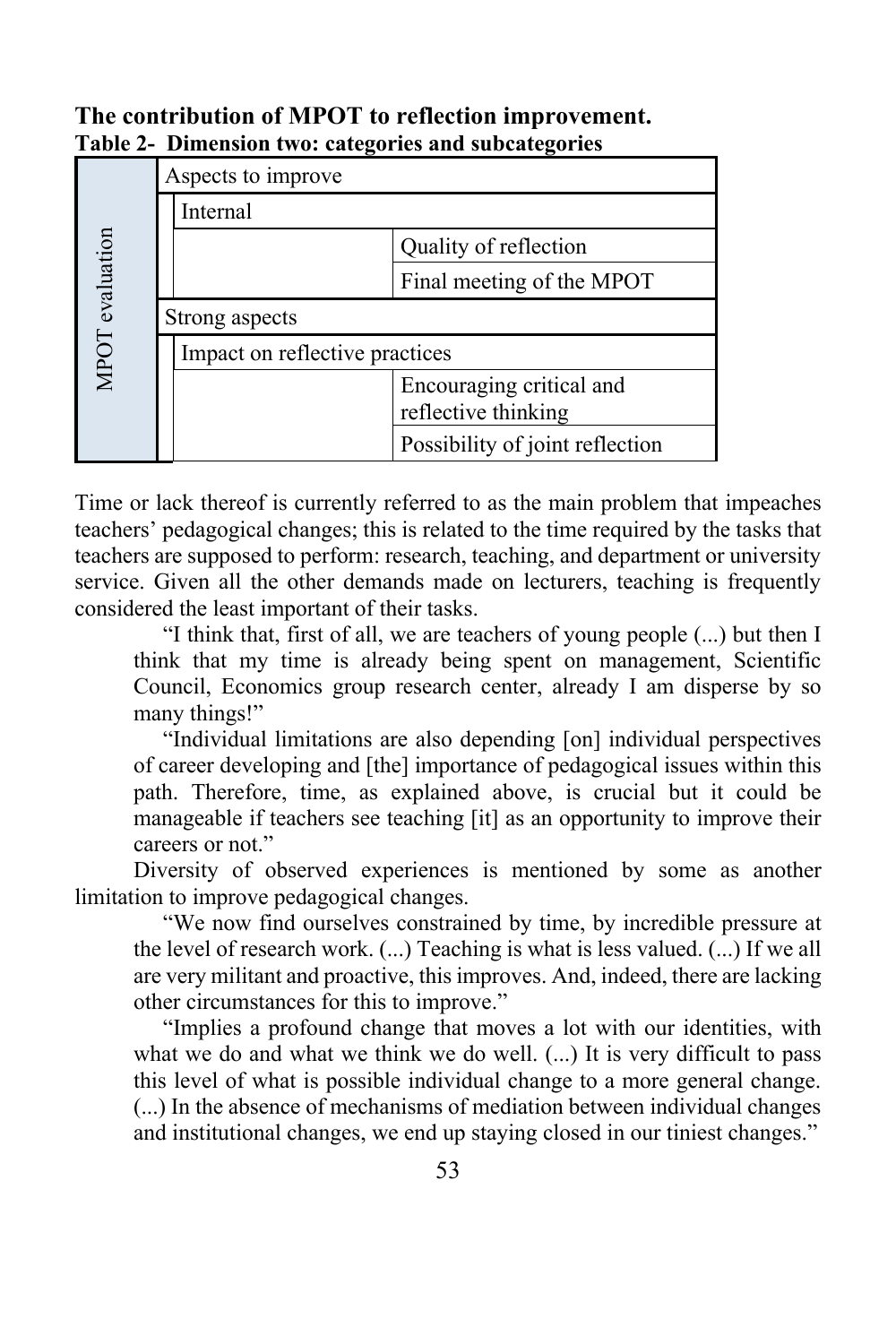## **The contribution of MPOT to reflection improvement. Table 2- Dimension two: categories and subcategories**

|                 |                    | -                              |                                                 |  |
|-----------------|--------------------|--------------------------------|-------------------------------------------------|--|
|                 | Aspects to improve |                                |                                                 |  |
|                 |                    | Internal                       |                                                 |  |
|                 |                    |                                | Quality of reflection                           |  |
|                 |                    |                                | Final meeting of the MPOT                       |  |
| MPOT evaluation | Strong aspects     |                                |                                                 |  |
|                 |                    | Impact on reflective practices |                                                 |  |
|                 |                    |                                | Encouraging critical and<br>reflective thinking |  |
|                 |                    |                                | Possibility of joint reflection                 |  |

Time or lack thereof is currently referred to as the main problem that impeaches teachers' pedagogical changes; this is related to the time required by the tasks that teachers are supposed to perform: research, teaching, and department or university service. Given all the other demands made on lecturers, teaching is frequently considered the least important of their tasks.

"I think that, first of all, we are teachers of young people (...) but then I think that my time is already being spent on management, Scientific Council, Economics group research center, already I am disperse by so many things!"

"Individual limitations are also depending [on] individual perspectives of career developing and [the] importance of pedagogical issues within this path. Therefore, time, as explained above, is crucial but it could be manageable if teachers see teaching [it] as an opportunity to improve their careers or not."

Diversity of observed experiences is mentioned by some as another limitation to improve pedagogical changes.

"We now find ourselves constrained by time, by incredible pressure at the level of research work. (...) Teaching is what is less valued. (...) If we all are very militant and proactive, this improves. And, indeed, there are lacking other circumstances for this to improve."

"Implies a profound change that moves a lot with our identities, with what we do and what we think we do well. (...) It is very difficult to pass this level of what is possible individual change to a more general change. (...) In the absence of mechanisms of mediation between individual changes and institutional changes, we end up staying closed in our tiniest changes."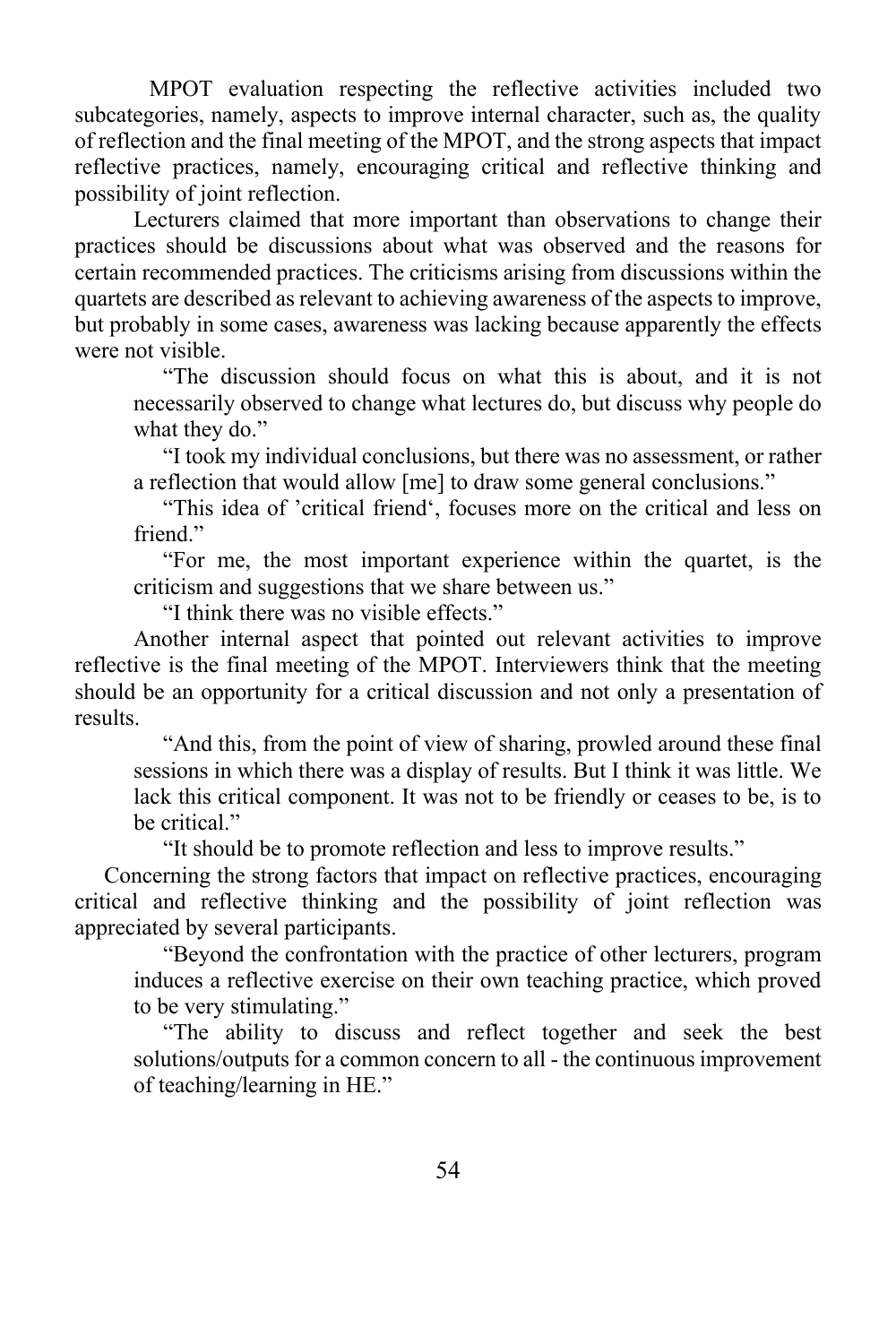MPOT evaluation respecting the reflective activities included two subcategories, namely, aspects to improve internal character, such as, the quality of reflection and the final meeting of the MPOT, and the strong aspects that impact reflective practices, namely, encouraging critical and reflective thinking and possibility of joint reflection.

Lecturers claimed that more important than observations to change their practices should be discussions about what was observed and the reasons for certain recommended practices. The criticisms arising from discussions within the quartets are described as relevant to achieving awareness of the aspects to improve, but probably in some cases, awareness was lacking because apparently the effects were not visible.

"The discussion should focus on what this is about, and it is not necessarily observed to change what lectures do, but discuss why people do what they do."

"I took my individual conclusions, but there was no assessment, or rather a reflection that would allow [me] to draw some general conclusions."

"This idea of 'critical friend', focuses more on the critical and less on friend."

"For me, the most important experience within the quartet, is the criticism and suggestions that we share between us."

"I think there was no visible effects."

Another internal aspect that pointed out relevant activities to improve reflective is the final meeting of the MPOT. Interviewers think that the meeting should be an opportunity for a critical discussion and not only a presentation of results.

"And this, from the point of view of sharing, prowled around these final sessions in which there was a display of results. But I think it was little. We lack this critical component. It was not to be friendly or ceases to be, is to be critical."

"It should be to promote reflection and less to improve results."

Concerning the strong factors that impact on reflective practices, encouraging critical and reflective thinking and the possibility of joint reflection was appreciated by several participants.

"Beyond the confrontation with the practice of other lecturers, program induces a reflective exercise on their own teaching practice, which proved to be very stimulating."

"The ability to discuss and reflect together and seek the best solutions/outputs for a common concern to all - the continuous improvement of teaching/learning in HE."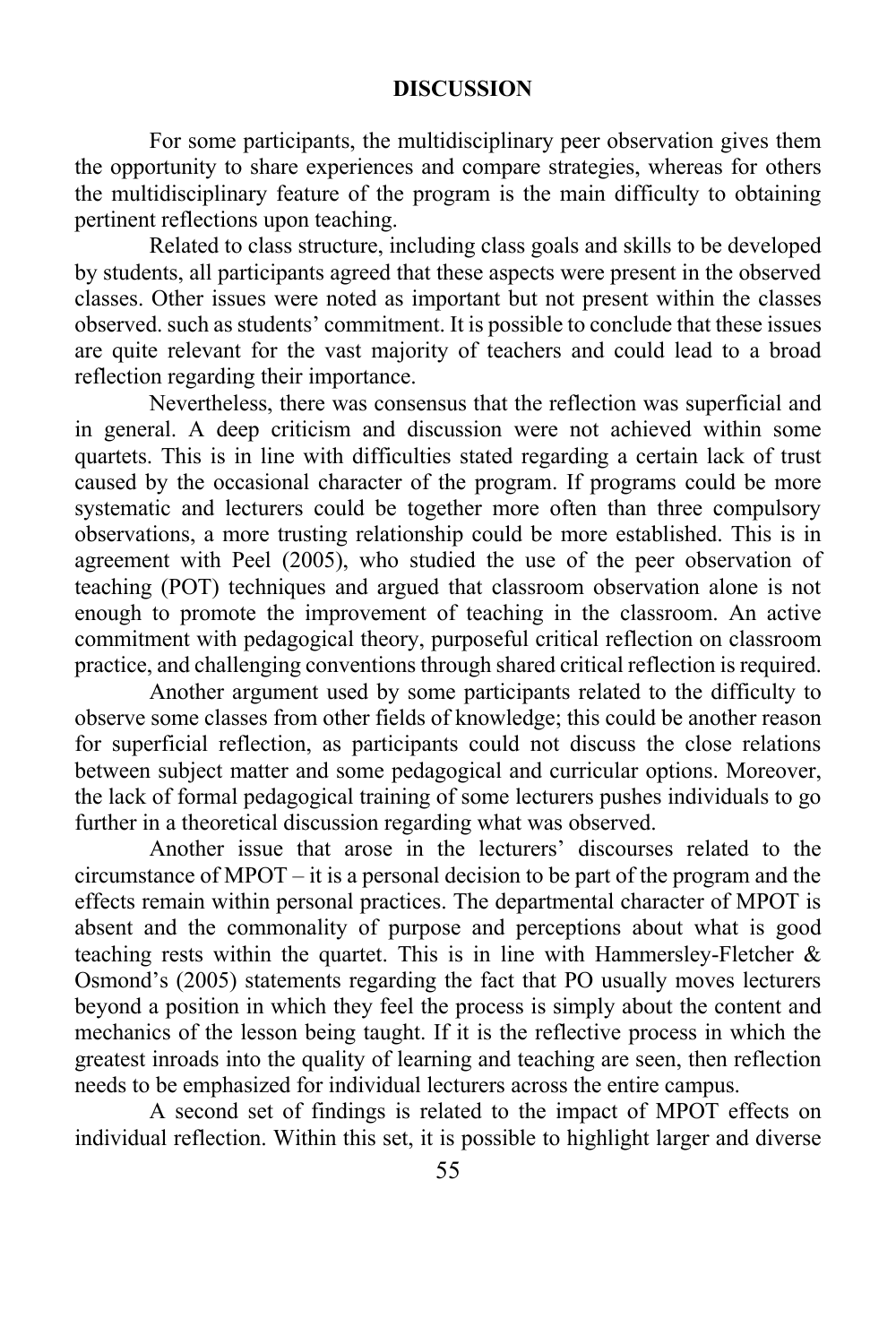#### **DISCUSSION**

For some participants, the multidisciplinary peer observation gives them the opportunity to share experiences and compare strategies, whereas for others the multidisciplinary feature of the program is the main difficulty to obtaining pertinent reflections upon teaching.

Related to class structure, including class goals and skills to be developed by students, all participants agreed that these aspects were present in the observed classes. Other issues were noted as important but not present within the classes observed. such as students' commitment. It is possible to conclude that these issues are quite relevant for the vast majority of teachers and could lead to a broad reflection regarding their importance.

Nevertheless, there was consensus that the reflection was superficial and in general. A deep criticism and discussion were not achieved within some quartets. This is in line with difficulties stated regarding a certain lack of trust caused by the occasional character of the program. If programs could be more systematic and lecturers could be together more often than three compulsory observations, a more trusting relationship could be more established. This is in agreement with Peel (2005), who studied the use of the peer observation of teaching (POT) techniques and argued that classroom observation alone is not enough to promote the improvement of teaching in the classroom. An active commitment with pedagogical theory, purposeful critical reflection on classroom practice, and challenging conventions through shared critical reflection is required.

Another argument used by some participants related to the difficulty to observe some classes from other fields of knowledge; this could be another reason for superficial reflection, as participants could not discuss the close relations between subject matter and some pedagogical and curricular options. Moreover, the lack of formal pedagogical training of some lecturers pushes individuals to go further in a theoretical discussion regarding what was observed.

Another issue that arose in the lecturers' discourses related to the circumstance of MPOT – it is a personal decision to be part of the program and the effects remain within personal practices. The departmental character of MPOT is absent and the commonality of purpose and perceptions about what is good teaching rests within the quartet. This is in line with Hammersley-Fletcher  $\&$ Osmond's (2005) statements regarding the fact that PO usually moves lecturers beyond a position in which they feel the process is simply about the content and mechanics of the lesson being taught. If it is the reflective process in which the greatest inroads into the quality of learning and teaching are seen, then reflection needs to be emphasized for individual lecturers across the entire campus.

A second set of findings is related to the impact of MPOT effects on individual reflection. Within this set, it is possible to highlight larger and diverse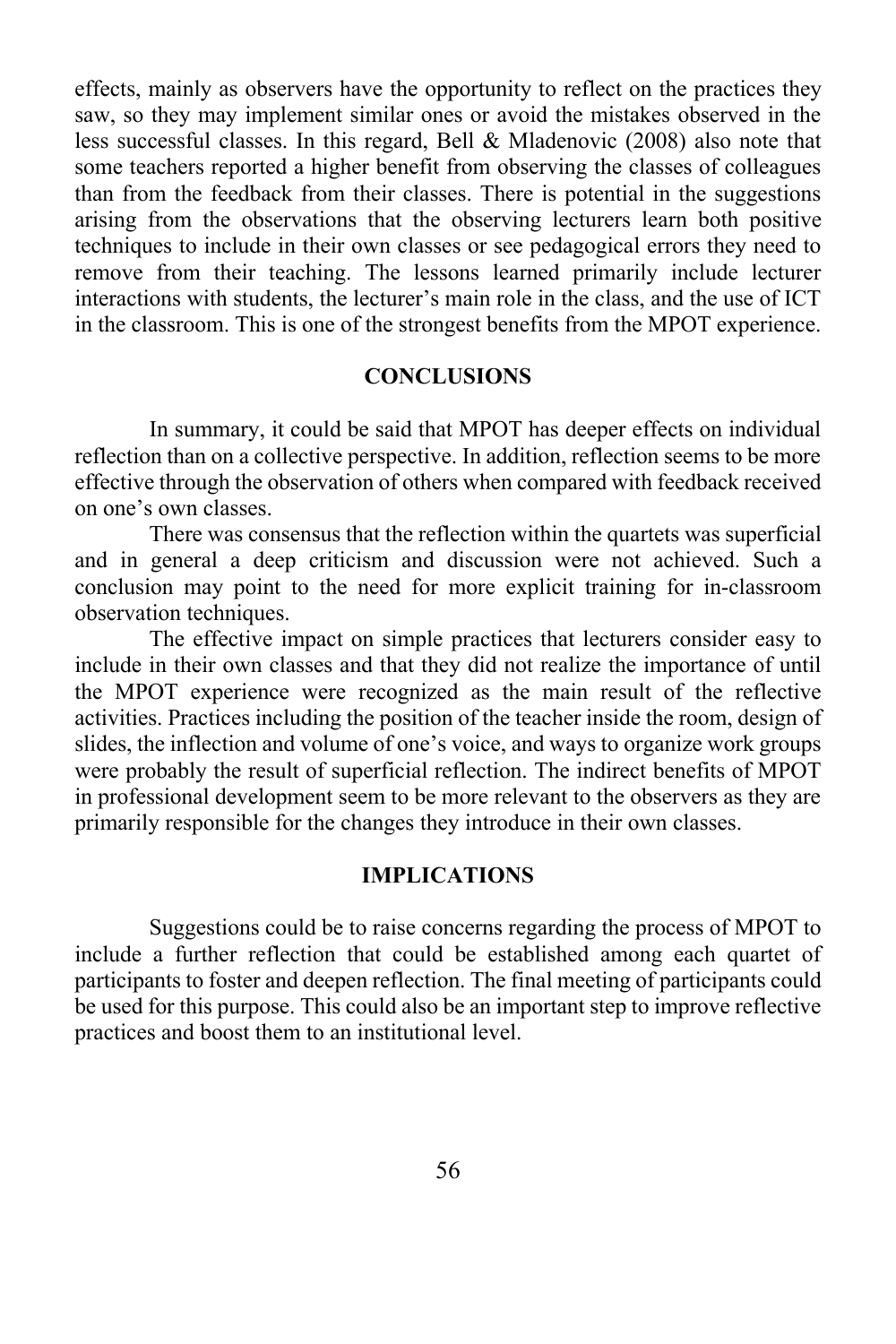effects, mainly as observers have the opportunity to reflect on the practices they saw, so they may implement similar ones or avoid the mistakes observed in the less successful classes. In this regard, Bell & Mladenovic (2008) also note that some teachers reported a higher benefit from observing the classes of colleagues than from the feedback from their classes. There is potential in the suggestions arising from the observations that the observing lecturers learn both positive techniques to include in their own classes or see pedagogical errors they need to remove from their teaching. The lessons learned primarily include lecturer interactions with students, the lecturer's main role in the class, and the use of ICT in the classroom. This is one of the strongest benefits from the MPOT experience.

#### **CONCLUSIONS**

In summary, it could be said that MPOT has deeper effects on individual reflection than on a collective perspective. In addition, reflection seems to be more effective through the observation of others when compared with feedback received on one's own classes.

There was consensus that the reflection within the quartets was superficial and in general a deep criticism and discussion were not achieved. Such a conclusion may point to the need for more explicit training for in-classroom observation techniques.

The effective impact on simple practices that lecturers consider easy to include in their own classes and that they did not realize the importance of until the MPOT experience were recognized as the main result of the reflective activities. Practices including the position of the teacher inside the room, design of slides, the inflection and volume of one's voice, and ways to organize work groups were probably the result of superficial reflection. The indirect benefits of MPOT in professional development seem to be more relevant to the observers as they are primarily responsible for the changes they introduce in their own classes.

#### **IMPLICATIONS**

Suggestions could be to raise concerns regarding the process of MPOT to include a further reflection that could be established among each quartet of participants to foster and deepen reflection. The final meeting of participants could be used for this purpose. This could also be an important step to improve reflective practices and boost them to an institutional level.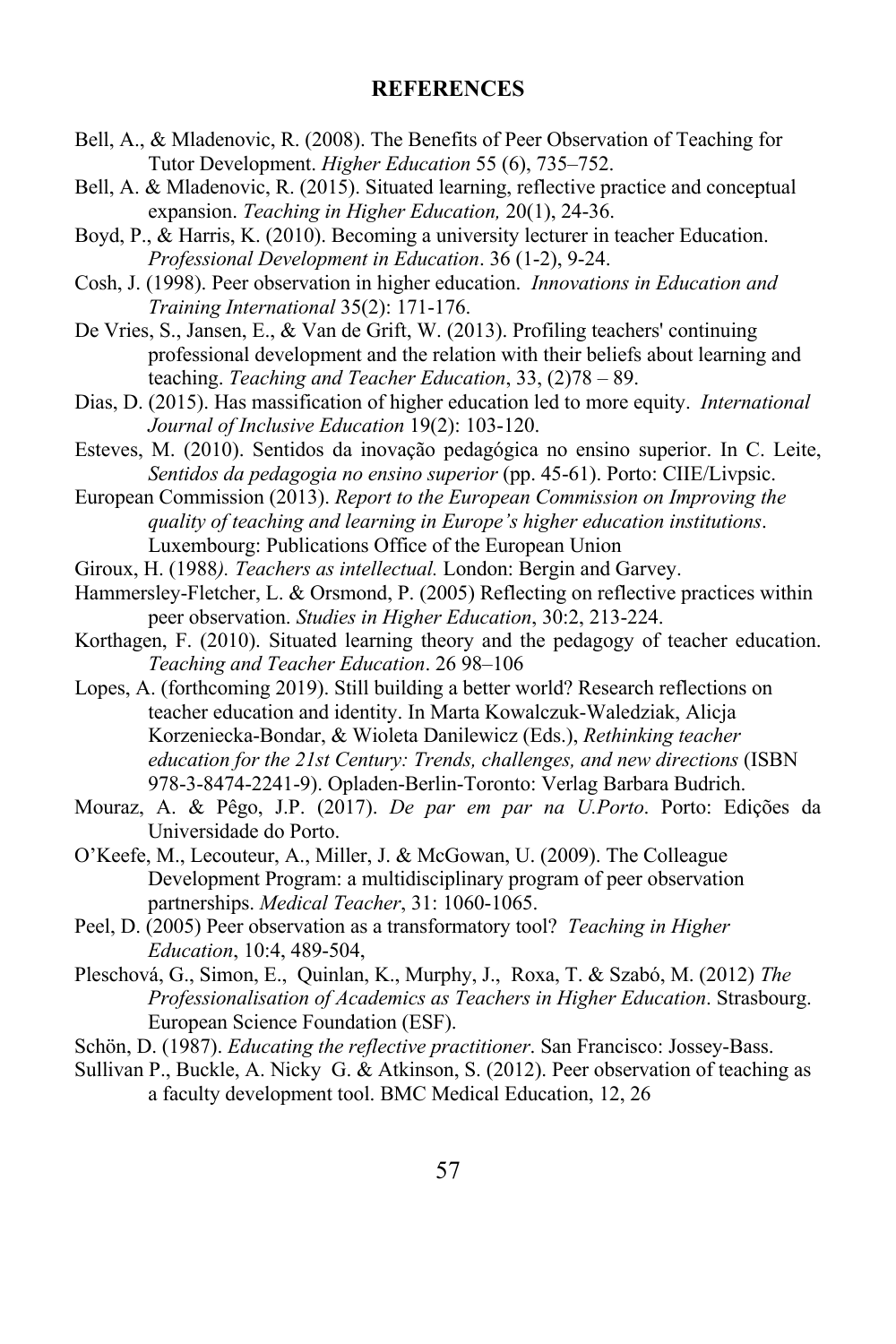#### **REFERENCES**

- Bell, A., & Mladenovic, R. (2008). The Benefits of Peer Observation of Teaching for Tutor Development. *Higher Education* 55 (6), 735–752.
- Bell, A. & Mladenovic, R. (2015). Situated learning, reflective practice and conceptual expansion. *Teaching in Higher Education,* 20(1), 24-36.
- Boyd, P., & Harris, K. (2010). Becoming a university lecturer in teacher Education. *Professional Development in Education*. 36 (1-2), 9-24.
- Cosh, J. (1998). Peer observation in higher education. *Innovations in Education and Training International* 35(2): 171-176.
- De Vries, S., Jansen, E., & Van de Grift, W. (2013). Profiling teachers' continuing professional development and the relation with their beliefs about learning and teaching. *Teaching and Teacher Education*, 33, (2)78 – 89.
- Dias, D. (2015). Has massification of higher education led to more equity. *International Journal of Inclusive Education* 19(2): 103-120.
- Esteves, M. (2010). Sentidos da inovação pedagógica no ensino superior. In C. Leite, *Sentidos da pedagogia no ensino superior* (pp. 45-61). Porto: CIIE/Livpsic.

European Commission (2013). *Report to the European Commission on Improving the quality of teaching and learning in Europe's higher education institutions*. Luxembourg: Publications Office of the European Union

- Giroux, H. (1988*). Teachers as intellectual.* London: Bergin and Garvey.
- Hammersley-Fletcher, L. & Orsmond, P. (2005) Reflecting on reflective practices within peer observation. *Studies in Higher Education*, 30:2, 213-224.
- Korthagen, F. (2010). Situated learning theory and the pedagogy of teacher education. *Teaching and Teacher Education*. 26 98–106
- Lopes, A. (forthcoming 2019). Still building a better world? Research reflections on teacher education and identity. In Marta Kowalczuk-Waledziak, Alicja Korzeniecka-Bondar, & Wioleta Danilewicz (Eds.), *Rethinking teacher education for the 21st Century: Trends, challenges, and new directions* (ISBN 978-3-8474-2241-9). Opladen-Berlin-Toronto: Verlag Barbara Budrich.
- Mouraz, A. & Pêgo, J.P. (2017). *De par em par na U.Porto*. Porto: Edições da Universidade do Porto.
- O'Keefe, M., Lecouteur, A., Miller, J. & McGowan, U. (2009). The Colleague Development Program: a multidisciplinary program of peer observation partnerships. *Medical Teacher*, 31: 1060-1065.
- Peel, D. (2005) Peer observation as a transformatory tool? *Teaching in Higher Education*, 10:4, 489-504,
- Pleschová, G., Simon, E., Quinlan, K., Murphy, J., Roxa, T. & Szabó, M. (2012) *The Professionalisation of Academics as Teachers in Higher Education*. Strasbourg. European Science Foundation (ESF).
- Schön, D. (1987). *Educating the reflective practitioner*. San Francisco: Jossey-Bass.
- Sullivan P., Buckle, A. Nicky G. & Atkinson, S. (2012). Peer observation of teaching as a faculty development tool. BMC Medical Education, 12, 26